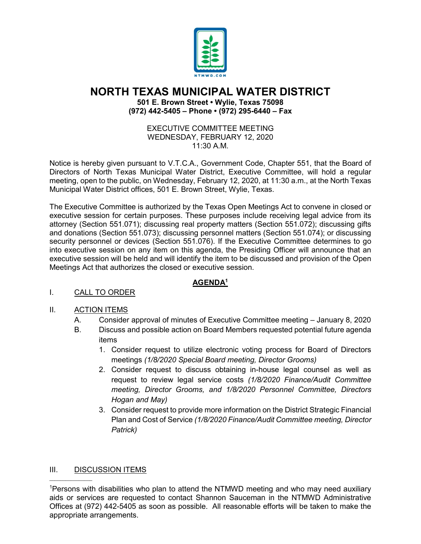

## **NORTH TEXAS MUNICIPAL WATER DISTRICT**

**501 E. Brown Street • Wylie, Texas 75098 (972) 442-5405 – Phone • (972) 295-6440 – Fax**

> EXECUTIVE COMMITTEE MEETING WEDNESDAY, FEBRUARY 12, 2020  $11:30$  A M

Notice is hereby given pursuant to V.T.C.A., Government Code, Chapter 551, that the Board of Directors of North Texas Municipal Water District, Executive Committee, will hold a regular meeting, open to the public, on Wednesday, February 12, 2020, at 11:30 a.m., at the North Texas Municipal Water District offices, 501 E. Brown Street, Wylie, Texas.

The Executive Committee is authorized by the Texas Open Meetings Act to convene in closed or executive session for certain purposes. These purposes include receiving legal advice from its attorney (Section 551.071); discussing real property matters (Section 551.072); discussing gifts and donations (Section 551.073); discussing personnel matters (Section 551.074); or discussing security personnel or devices (Section 551.076). If the Executive Committee determines to go into executive session on any item on this agenda, the Presiding Officer will announce that an executive session will be held and will identify the item to be discussed and provision of the Open Meetings Act that authorizes the closed or executive session.

## **AGENDA1**

I. CALL TO ORDER

## II. ACTION ITEMS

- A. Consider approval of minutes of Executive Committee meeting January 8, 2020
- B. Discuss and possible action on Board Members requested potential future agenda items
	- 1. Consider request to utilize electronic voting process for Board of Directors meetings *(1/8/2020 Special Board meeting, Director Grooms)*
	- 2. Consider request to discuss obtaining in-house legal counsel as well as request to review legal service costs *(1/8/2020 Finance/Audit Committee meeting, Director Grooms, and 1/8/2020 Personnel Committee, Directors Hogan and May)*
	- 3. Consider request to provide more information on the District Strategic Financial Plan and Cost of Service *(1/8/2020 Finance/Audit Committee meeting, Director Patrick)*

## III. DISCUSSION ITEMS

 $\overline{\phantom{a}}$  , where  $\overline{\phantom{a}}$ 

<sup>1</sup> Persons with disabilities who plan to attend the NTMWD meeting and who may need auxiliary aids or services are requested to contact Shannon Sauceman in the NTMWD Administrative Offices at (972) 442-5405 as soon as possible. All reasonable efforts will be taken to make the appropriate arrangements.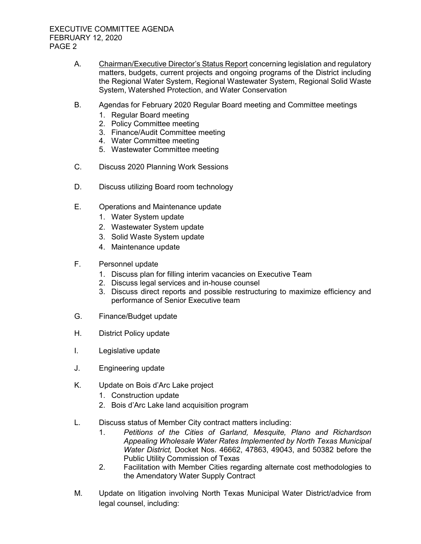- A. Chairman/Executive Director's Status Report concerning legislation and regulatory matters, budgets, current projects and ongoing programs of the District including the Regional Water System, Regional Wastewater System, Regional Solid Waste System, Watershed Protection, and Water Conservation
- B. Agendas for February 2020 Regular Board meeting and Committee meetings
	- 1. Regular Board meeting
	- 2. Policy Committee meeting
	- 3. Finance/Audit Committee meeting
	- 4. Water Committee meeting
	- 5. Wastewater Committee meeting
- C. Discuss 2020 Planning Work Sessions
- D. Discuss utilizing Board room technology
- E. Operations and Maintenance update
	- 1. Water System update
	- 2. Wastewater System update
	- 3. Solid Waste System update
	- 4. Maintenance update
- F. Personnel update
	- 1. Discuss plan for filling interim vacancies on Executive Team
	- 2. Discuss legal services and in-house counsel
	- 3. Discuss direct reports and possible restructuring to maximize efficiency and performance of Senior Executive team
- G. Finance/Budget update
- H. District Policy update
- I. Legislative update
- J. Engineering update
- K. Update on Bois d'Arc Lake project
	- 1. Construction update
	- 2. Bois d'Arc Lake land acquisition program
- L. Discuss status of Member City contract matters including:
	- 1. *Petitions of the Cities of Garland, Mesquite, Plano and Richardson Appealing Wholesale Water Rates Implemented by North Texas Municipal Water District,* Docket Nos. 46662, 47863, 49043, and 50382 before the Public Utility Commission of Texas
	- 2. Facilitation with Member Cities regarding alternate cost methodologies to the Amendatory Water Supply Contract
- M. Update on litigation involving North Texas Municipal Water District/advice from legal counsel, including: